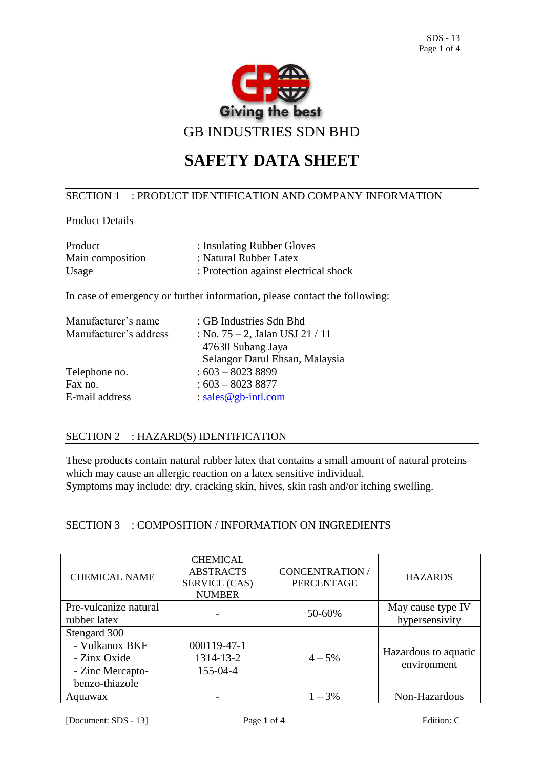

# **SAFETY DATA SHEET**

#### SECTION 1 : PRODUCT IDENTIFICATION AND COMPANY INFORMATION

### Product Details

| Product          | : Insulating Rubber Gloves            |
|------------------|---------------------------------------|
| Main composition | : Natural Rubber Latex                |
| Usage            | : Protection against electrical shock |

In case of emergency or further information, please contact the following:

| Manufacturer's name    | : GB Industries Sdn Bhd            |
|------------------------|------------------------------------|
| Manufacturer's address | : No. $75 - 2$ , Jalan USJ 21 / 11 |
|                        | 47630 Subang Jaya                  |
|                        | Selangor Darul Ehsan, Malaysia     |
| Telephone no.          | $:603 - 80238899$                  |
| Fax no.                | $:603 - 80238877$                  |
| E-mail address         | : sales @ gb-intl.com              |

## SECTION 2 : HAZARD(S) IDENTIFICATION

These products contain natural rubber latex that contains a small amount of natural proteins which may cause an allergic reaction on a latex sensitive individual. Symptoms may include: dry, cracking skin, hives, skin rash and/or itching swelling.

SECTION 3 : COMPOSITION / INFORMATION ON INGREDIENTS

| <b>CHEMICAL NAME</b>  | <b>CHEMICAL</b><br><b>ABSTRACTS</b><br><b>SERVICE (CAS)</b><br><b>NUMBER</b> | <b>CONCENTRATION /</b><br><b>PERCENTAGE</b> | <b>HAZARDS</b>                      |
|-----------------------|------------------------------------------------------------------------------|---------------------------------------------|-------------------------------------|
| Pre-vulcanize natural |                                                                              | 50-60%                                      | May cause type IV                   |
| rubber latex          |                                                                              |                                             | hypersensivity                      |
| Stengard 300          |                                                                              |                                             |                                     |
| - Vulkanox BKF        | 000119-47-1                                                                  |                                             |                                     |
| - Zinx Oxide          | 1314-13-2                                                                    | $4 - 5%$                                    | Hazardous to aquatic<br>environment |
| - Zinc Mercapto-      | 155-04-4                                                                     |                                             |                                     |
| benzo-thiazole        |                                                                              |                                             |                                     |
| Aquawax               |                                                                              | $1 - 3\%$                                   | Non-Hazardous                       |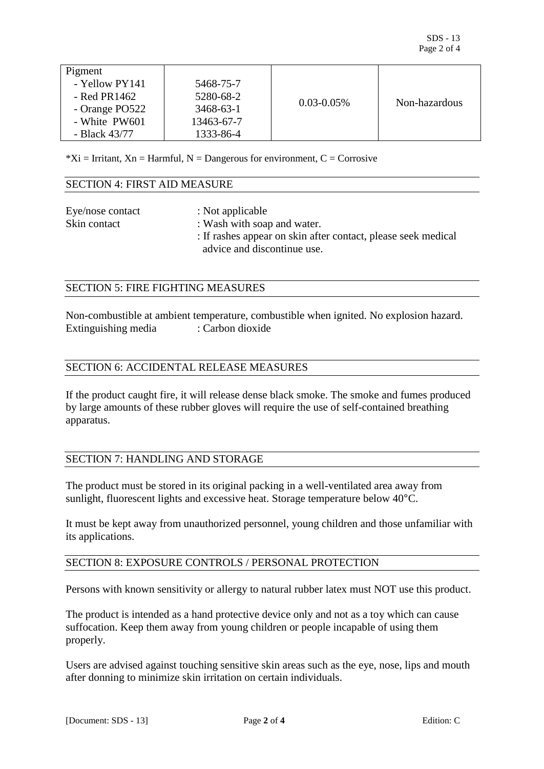| Pigment        |            |                 |               |
|----------------|------------|-----------------|---------------|
| - Yellow PY141 | 5468-75-7  |                 |               |
|                |            |                 |               |
| $-$ Red PR1462 | 5280-68-2  | $0.03 - 0.05\%$ | Non-hazardous |
| - Orange PO522 | 3468-63-1  |                 |               |
| - White PW601  | 13463-67-7 |                 |               |
| - Black 43/77  | 1333-86-4  |                 |               |

 $*Xi = Irr$  tritant,  $Xn = Harmful$ ,  $N = Dangerous for environment$ ,  $C = Corrosive$ 

#### SECTION 4: FIRST AID MEASURE

| Eye/nose contact | : Not applicable                                                                             |
|------------------|----------------------------------------------------------------------------------------------|
| Skin contact     | : Wash with soap and water.                                                                  |
|                  | : If rashes appear on skin after contact, please seek medical<br>advice and discontinue use. |
|                  |                                                                                              |

#### SECTION 5: FIRE FIGHTING MEASURES

Non-combustible at ambient temperature, combustible when ignited. No explosion hazard. Extinguishing media : Carbon dioxide

#### SECTION 6: ACCIDENTAL RELEASE MEASURES

If the product caught fire, it will release dense black smoke. The smoke and fumes produced by large amounts of these rubber gloves will require the use of self-contained breathing apparatus.

#### SECTION 7: HANDLING AND STORAGE

The product must be stored in its original packing in a well-ventilated area away from sunlight, fluorescent lights and excessive heat. Storage temperature below 40°C.

It must be kept away from unauthorized personnel, young children and those unfamiliar with its applications.

#### SECTION 8: EXPOSURE CONTROLS / PERSONAL PROTECTION

Persons with known sensitivity or allergy to natural rubber latex must NOT use this product.

The product is intended as a hand protective device only and not as a toy which can cause suffocation. Keep them away from young children or people incapable of using them properly.

Users are advised against touching sensitive skin areas such as the eye, nose, lips and mouth after donning to minimize skin irritation on certain individuals.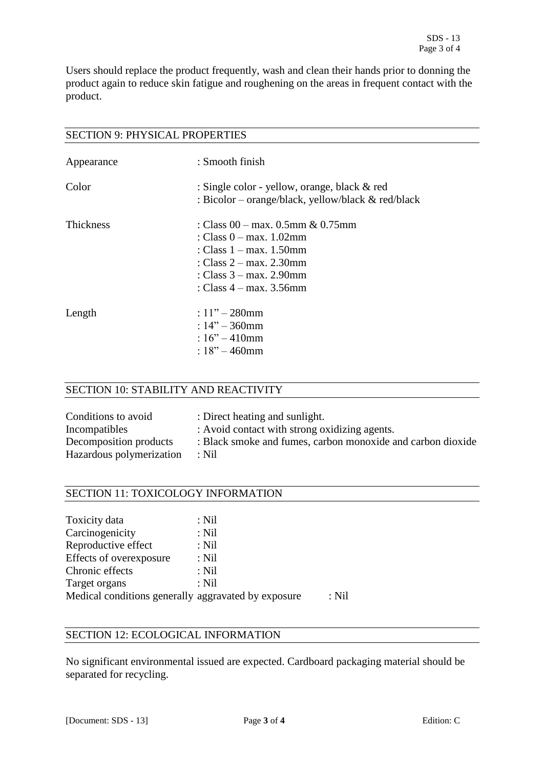Users should replace the product frequently, wash and clean their hands prior to donning the product again to reduce skin fatigue and roughening on the areas in frequent contact with the product.

#### SECTION 9: PHYSICAL PROPERTIES

| Appearance       | : Smooth finish                                                                                                                                                                           |
|------------------|-------------------------------------------------------------------------------------------------------------------------------------------------------------------------------------------|
| Color            | : Single color - yellow, orange, black & red<br>: Bicolor – orange/black, yellow/black & red/black                                                                                        |
| <b>Thickness</b> | : Class 00 – max. 0.5mm & 0.75mm<br>: Class $0 - max. 1.02$ mm<br>: Class $1 - max$ , 1.50mm<br>: Class $2 - max$ , $2.30$ mm<br>: Class $3 - max$ , 2.90mm<br>: Class $4 - max. 3.56$ mm |
| Length           | $: 11" - 280$ mm<br>: $14" - 360$ mm<br>: $16^{\prime\prime} - 410$ mm<br>: $18" - 460$ mm                                                                                                |

#### SECTION 10: STABILITY AND REACTIVITY

| Conditions to avoid      | : Direct heating and sunlight.                              |
|--------------------------|-------------------------------------------------------------|
| Incompatibles            | : Avoid contact with strong oxidizing agents.               |
| Decomposition products   | : Black smoke and fumes, carbon monoxide and carbon dioxide |
| Hazardous polymerization | : Nil                                                       |

### SECTION 11: TOXICOLOGY INFORMATION

| Toxicity data                                       | $:$ Nil |       |
|-----------------------------------------------------|---------|-------|
| Carcinogenicity                                     | : Nil   |       |
| Reproductive effect                                 | $:$ Nil |       |
| Effects of overexposure                             | $:$ Nil |       |
| Chronic effects                                     | $:$ Nil |       |
| Target organs                                       | $:$ Nil |       |
| Medical conditions generally aggravated by exposure |         | : Nil |

# SECTION 12: ECOLOGICAL INFORMATION

No significant environmental issued are expected. Cardboard packaging material should be separated for recycling.